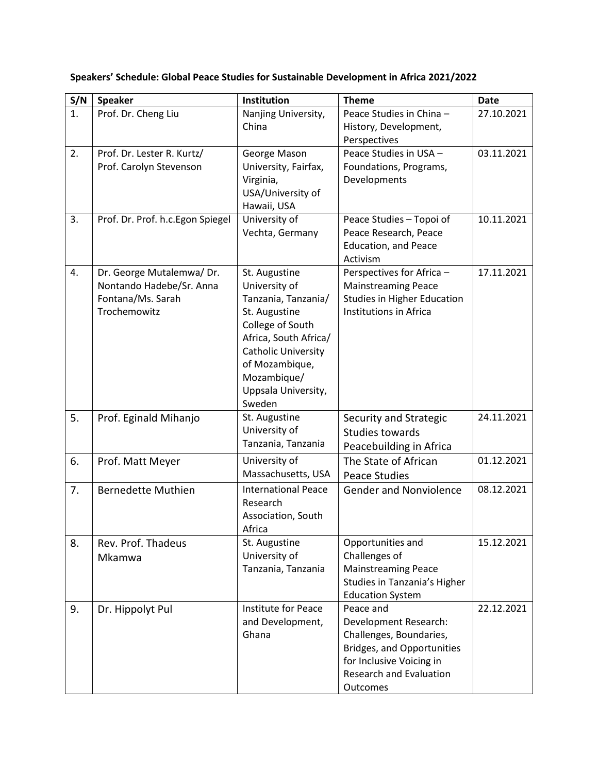| S/N            | <b>Speaker</b>                    | Institution                          | <b>Theme</b>                                                 | <b>Date</b> |
|----------------|-----------------------------------|--------------------------------------|--------------------------------------------------------------|-------------|
| $\mathbf{1}$ . | Prof. Dr. Cheng Liu               | Nanjing University,                  | Peace Studies in China -                                     | 27.10.2021  |
|                |                                   | China                                | History, Development,                                        |             |
|                |                                   |                                      | Perspectives                                                 |             |
| 2.             | Prof. Dr. Lester R. Kurtz/        | George Mason                         | Peace Studies in USA -                                       | 03.11.2021  |
|                | Prof. Carolyn Stevenson           | University, Fairfax,<br>Virginia,    | Foundations, Programs,                                       |             |
|                |                                   | USA/University of                    | Developments                                                 |             |
|                |                                   | Hawaii, USA                          |                                                              |             |
| 3.             | Prof. Dr. Prof. h.c. Egon Spiegel | University of                        | Peace Studies - Topoi of                                     | 10.11.2021  |
|                |                                   | Vechta, Germany                      | Peace Research, Peace                                        |             |
|                |                                   |                                      | <b>Education, and Peace</b>                                  |             |
|                |                                   |                                      | Activism                                                     |             |
| 4.             | Dr. George Mutalemwa/ Dr.         | St. Augustine                        | Perspectives for Africa -                                    | 17.11.2021  |
|                | Nontando Hadebe/Sr. Anna          | University of                        | <b>Mainstreaming Peace</b>                                   |             |
|                | Fontana/Ms. Sarah<br>Trochemowitz | Tanzania, Tanzania/<br>St. Augustine | <b>Studies in Higher Education</b><br>Institutions in Africa |             |
|                |                                   | College of South                     |                                                              |             |
|                |                                   | Africa, South Africa/                |                                                              |             |
|                |                                   | <b>Catholic University</b>           |                                                              |             |
|                |                                   | of Mozambique,                       |                                                              |             |
|                |                                   | Mozambique/                          |                                                              |             |
|                |                                   | Uppsala University,                  |                                                              |             |
|                |                                   | Sweden                               |                                                              |             |
| 5.             | Prof. Eginald Mihanjo             | St. Augustine                        | Security and Strategic                                       | 24.11.2021  |
|                |                                   | University of<br>Tanzania, Tanzania  | <b>Studies towards</b>                                       |             |
|                |                                   |                                      | Peacebuilding in Africa                                      |             |
| 6.             | Prof. Matt Meyer                  | University of                        | The State of African                                         | 01.12.2021  |
|                |                                   | Massachusetts, USA                   | <b>Peace Studies</b>                                         |             |
| 7.             | <b>Bernedette Muthien</b>         | <b>International Peace</b>           | <b>Gender and Nonviolence</b>                                | 08.12.2021  |
|                |                                   | Research<br>Association, South       |                                                              |             |
|                |                                   | Africa                               |                                                              |             |
| 8.             | Rev. Prof. Thadeus                | St. Augustine                        | Opportunities and                                            | 15.12.2021  |
|                | Mkamwa                            | University of                        | Challenges of                                                |             |
|                |                                   | Tanzania, Tanzania                   | <b>Mainstreaming Peace</b>                                   |             |
|                |                                   |                                      | Studies in Tanzania's Higher                                 |             |
|                |                                   |                                      | <b>Education System</b>                                      |             |
| 9.             | Dr. Hippolyt Pul                  | <b>Institute for Peace</b>           | Peace and                                                    | 22.12.2021  |
|                |                                   | and Development,                     | Development Research:                                        |             |
|                |                                   | Ghana                                | Challenges, Boundaries,                                      |             |
|                |                                   |                                      | Bridges, and Opportunities<br>for Inclusive Voicing in       |             |
|                |                                   |                                      | <b>Research and Evaluation</b>                               |             |
|                |                                   |                                      | Outcomes                                                     |             |

**Speakers' Schedule: Global Peace Studies for Sustainable Development in Africa 2021/2022**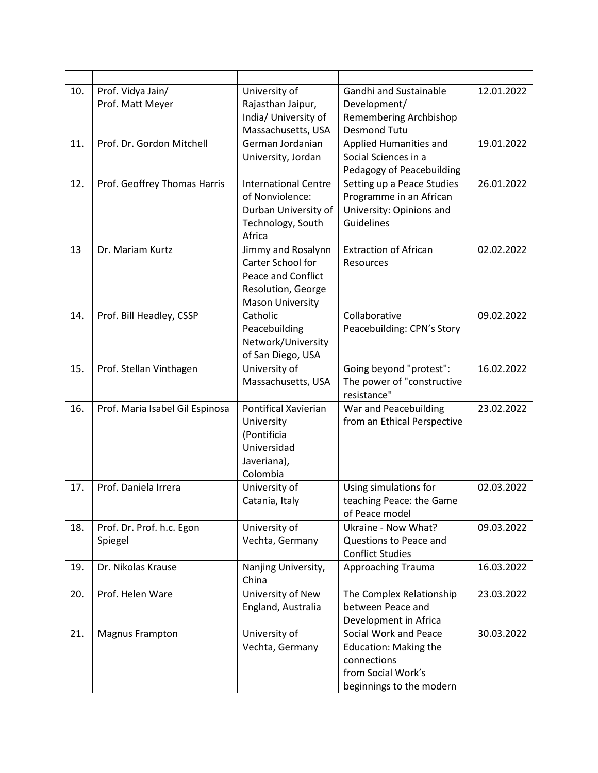| 10. | Prof. Vidya Jain/<br>Prof. Matt Meyer | University of<br>Rajasthan Jaipur,<br>India/ University of<br>Massachusetts, USA                               | <b>Gandhi and Sustainable</b><br>Development/<br>Remembering Archbishop<br><b>Desmond Tutu</b>                         | 12.01.2022 |
|-----|---------------------------------------|----------------------------------------------------------------------------------------------------------------|------------------------------------------------------------------------------------------------------------------------|------------|
| 11. | Prof. Dr. Gordon Mitchell             | German Jordanian<br>University, Jordan                                                                         | Applied Humanities and<br>Social Sciences in a<br>Pedagogy of Peacebuilding                                            | 19.01.2022 |
| 12. | Prof. Geoffrey Thomas Harris          | <b>International Centre</b><br>of Nonviolence:<br>Durban University of<br>Technology, South<br>Africa          | Setting up a Peace Studies<br>Programme in an African<br>University: Opinions and<br>Guidelines                        | 26.01.2022 |
| 13  | Dr. Mariam Kurtz                      | Jimmy and Rosalynn<br>Carter School for<br>Peace and Conflict<br>Resolution, George<br><b>Mason University</b> | <b>Extraction of African</b><br>Resources                                                                              | 02.02.2022 |
| 14. | Prof. Bill Headley, CSSP              | Catholic<br>Peacebuilding<br>Network/University<br>of San Diego, USA                                           | Collaborative<br>Peacebuilding: CPN's Story                                                                            | 09.02.2022 |
| 15. | Prof. Stellan Vinthagen               | University of<br>Massachusetts, USA                                                                            | Going beyond "protest":<br>The power of "constructive<br>resistance"                                                   | 16.02.2022 |
| 16. | Prof. Maria Isabel Gil Espinosa       | <b>Pontifical Xavierian</b><br>University<br>(Pontificia<br>Universidad<br>Javeriana),<br>Colombia             | War and Peacebuilding<br>from an Ethical Perspective                                                                   | 23.02.2022 |
| 17. | Prof. Daniela Irrera                  | University of<br>Catania, Italy                                                                                | Using simulations for<br>teaching Peace: the Game<br>of Peace model                                                    | 02.03.2022 |
| 18. | Prof. Dr. Prof. h.c. Egon<br>Spiegel  | University of<br>Vechta, Germany                                                                               | Ukraine - Now What?<br>Questions to Peace and<br><b>Conflict Studies</b>                                               | 09.03.2022 |
| 19. | Dr. Nikolas Krause                    | Nanjing University,<br>China                                                                                   | Approaching Trauma                                                                                                     | 16.03.2022 |
| 20. | Prof. Helen Ware                      | University of New<br>England, Australia                                                                        | The Complex Relationship<br>between Peace and<br>Development in Africa                                                 | 23.03.2022 |
| 21. | <b>Magnus Frampton</b>                | University of<br>Vechta, Germany                                                                               | Social Work and Peace<br><b>Education: Making the</b><br>connections<br>from Social Work's<br>beginnings to the modern | 30.03.2022 |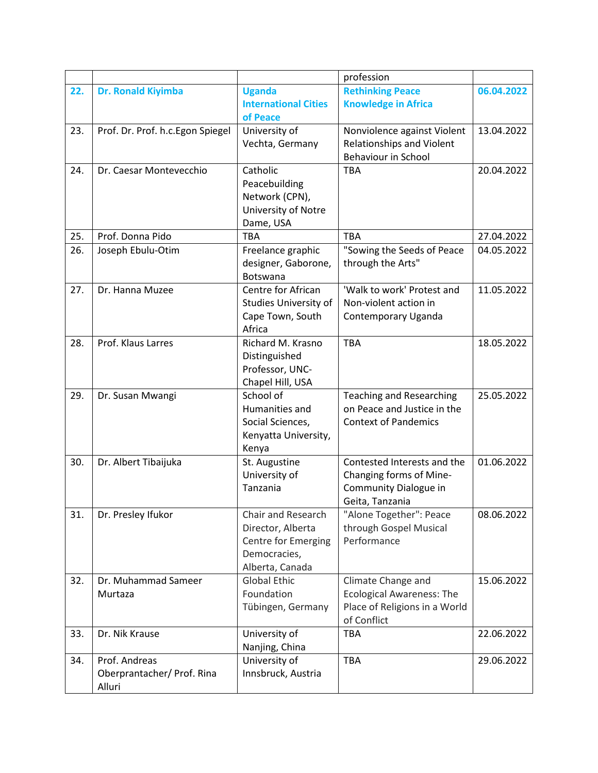|     |                                   |                                 | profession                       |            |
|-----|-----------------------------------|---------------------------------|----------------------------------|------------|
| 22. | Dr. Ronald Kiyimba                | <b>Uganda</b>                   | <b>Rethinking Peace</b>          | 06.04.2022 |
|     |                                   | <b>International Cities</b>     | <b>Knowledge in Africa</b>       |            |
|     |                                   | of Peace                        |                                  |            |
| 23. | Prof. Dr. Prof. h.c. Egon Spiegel | University of                   | Nonviolence against Violent      | 13.04.2022 |
|     |                                   | Vechta, Germany                 | <b>Relationships and Violent</b> |            |
|     |                                   |                                 | <b>Behaviour in School</b>       |            |
| 24. | Dr. Caesar Montevecchio           | Catholic                        | <b>TBA</b>                       | 20.04.2022 |
|     |                                   | Peacebuilding                   |                                  |            |
|     |                                   | Network (CPN),                  |                                  |            |
|     |                                   | University of Notre             |                                  |            |
|     |                                   | Dame, USA                       |                                  |            |
| 25. | Prof. Donna Pido                  | <b>TBA</b>                      | <b>TBA</b>                       | 27.04.2022 |
| 26. | Joseph Ebulu-Otim                 | Freelance graphic               | "Sowing the Seeds of Peace       | 04.05.2022 |
|     |                                   | designer, Gaborone,             | through the Arts"                |            |
|     |                                   | <b>Botswana</b>                 |                                  |            |
| 27. | Dr. Hanna Muzee                   | Centre for African              | 'Walk to work' Protest and       | 11.05.2022 |
|     |                                   | <b>Studies University of</b>    | Non-violent action in            |            |
|     |                                   | Cape Town, South                | Contemporary Uganda              |            |
|     |                                   | Africa                          |                                  |            |
| 28. | Prof. Klaus Larres                | Richard M. Krasno               | <b>TBA</b>                       | 18.05.2022 |
|     |                                   | Distinguished                   |                                  |            |
|     |                                   | Professor, UNC-                 |                                  |            |
|     |                                   | Chapel Hill, USA                |                                  |            |
| 29. | Dr. Susan Mwangi                  | School of                       | <b>Teaching and Researching</b>  | 25.05.2022 |
|     |                                   | Humanities and                  | on Peace and Justice in the      |            |
|     |                                   | Social Sciences,                | <b>Context of Pandemics</b>      |            |
|     |                                   | Kenyatta University,            |                                  |            |
|     |                                   | Kenya                           |                                  |            |
| 30. | Dr. Albert Tibaijuka              | St. Augustine                   | Contested Interests and the      | 01.06.2022 |
|     |                                   | University of                   | Changing forms of Mine-          |            |
|     |                                   | Tanzania                        | Community Dialogue in            |            |
|     |                                   |                                 | Geita, Tanzania                  |            |
| 31. | Dr. Presley Ifukor                | Chair and Research              | "Alone Together": Peace          | 08.06.2022 |
|     |                                   | Director, Alberta               | through Gospel Musical           |            |
|     |                                   | <b>Centre for Emerging</b>      | Performance                      |            |
|     |                                   | Democracies,                    |                                  |            |
|     |                                   | Alberta, Canada                 |                                  |            |
| 32. | Dr. Muhammad Sameer               | <b>Global Ethic</b>             | Climate Change and               | 15.06.2022 |
|     | Murtaza                           | Foundation                      | <b>Ecological Awareness: The</b> |            |
|     |                                   | Tübingen, Germany               | Place of Religions in a World    |            |
|     |                                   |                                 | of Conflict                      |            |
| 33. | Dr. Nik Krause                    | University of                   | TBA                              | 22.06.2022 |
| 34. | Prof. Andreas                     | Nanjing, China<br>University of | <b>TBA</b>                       | 29.06.2022 |
|     | Oberprantacher/ Prof. Rina        | Innsbruck, Austria              |                                  |            |
|     | Alluri                            |                                 |                                  |            |
|     |                                   |                                 |                                  |            |